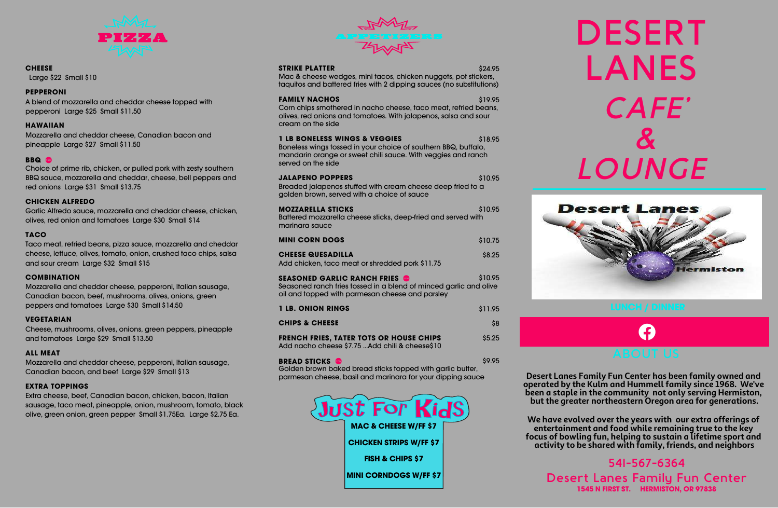# **DESERT LANES** *CAFE' & LOUNGE*



#### **CHEESE**

Large \$22 Small \$10

## **PEPPERONI**

A blend of mozzarella and cheddar cheese topped with pepperoni Large \$25 Small \$11.50

## **HAWAIIAN**

Mozzarella and cheddar cheese, Canadian bacon and pineapple Large \$27 Small \$11.50

## **BBQ**

Choice of prime rib, chicken, or pulled pork with zesty southern BBQ sauce, mozzarella and cheddar, cheese, bell peppers and red onions Large \$31 Small \$13.75

## **CHICKEN ALFREDO**

Garlic Alfredo sauce, mozzarella and cheddar cheese, chicken, olives, red onion and tomatoes Large \$30 Small \$14

## **TACO**

Taco meat, refried beans, pizza sauce, mozzarella and cheddar cheese, lettuce, olives, tomato, onion, crushed taco chips, salsa and sour cream Large \$32 Small \$15

#### **COMBINATION**

Mozzarella and cheddar cheese, pepperoni, Italian sausage, Canadian bacon, beef, mushrooms, olives, onions, green peppers and tomatoes Large \$30 Small \$14.50

#### **VEGETARIAN**

Cheese, mushrooms, olives, onions, green peppers, pineapple and tomatoes Large \$29 Small \$13.50

#### **ALL MEAT**

Mozzarella and cheddar cheese, pepperoni, Italian sausage, Canadian bacon, and beef Large \$29 Small \$13

#### **EXTRA TOPPINGS**

Extra cheese, beef, Canadian bacon, chicken, bacon, Italian sausage, taco meat, pineapple, onion, mushroom, tomato, black olive, green onion, green pepper Small \$1.75Ea. Large \$2.75 Ea.



#### **STRIKE PLATTER** \$24.95

**BREAD STICKS \$9.95** Golden brown baked bread sticks topped with garlic butter, parmesan cheese, basil and marinara for your dipping sauce

Mac & cheese wedges, mini tacos, chicken nuggets, pot stickers, taquitos and battered fries with 2 dipping sauces (no substitutions)

#### **FAMILY NACHOS** \$19.95

Corn chips smothered in nacho cheese, taco meat, refried beans, olives, red onions and tomatoes. With jalapenos, salsa and sour cream on the side

#### **1 LB BONELESS WINGS & VEGGIES** \$18.95

Boneless wings tossed in your choice of southern BBQ, buffalo, mandarin orange or sweet chili sauce. With veggies and ranch served on the side

| <b>JALAPENO POPPERS</b>                                     | \$10.95 |
|-------------------------------------------------------------|---------|
| Breaded jalapenos stuffed with cream cheese deep fried to a |         |
| golden brown, served with a choice of sauce                 |         |

| <b>MOZZARELLA STICKS</b>                                      | \$10.95 |
|---------------------------------------------------------------|---------|
| Battered mozzarella cheese sticks, deep-fried and served with |         |
| marinara sauce                                                |         |
|                                                               |         |

| <b>MINI CORN DOGS</b>    | \$10.75 |
|--------------------------|---------|
| <b>CHEESE QUESADILLA</b> | \$8.25  |

| Add chicken, taco meat or shredded pork \$11.75 |  |
|-------------------------------------------------|--|

| <b>SEASONED GARLIC RANCH FRIES &amp;</b><br>Seasoned ranch fries tossed in a blend of minced garlic and olive<br>oil and topped with parmesan cheese and parsley | \$10.95 |
|------------------------------------------------------------------------------------------------------------------------------------------------------------------|---------|
| <b>1 LB. ONION RINGS</b>                                                                                                                                         | \$11.95 |

| <b>CHIPS &amp; CHEESE</b> |  |
|---------------------------|--|

| <b>FRENCH FRIES, TATER TOTS OR HOUSE CHIPS</b>   | \$5.25 |
|--------------------------------------------------|--------|
| Add nacho cheese \$7.75  Add chili & cheese \$10 |        |

**541-567-6364 Desert Lanes Family Fun Center 1545 N FIRST ST. HERMISTON, OR 97838**

**Desert Lanes Family Fun Center has been family owned and operated by the Kulm and Hummell family since 1968. We've been a staple in the community not only serving Hermiston, but the greater northeastern Oregon area for generations.**

**We have evolved over the years with our extra offerings of entertainment and food while remaining true to the key focus of bowling fun, helping to sustain a lifetime sport and activity to be shared with family, friends, and neighbors**